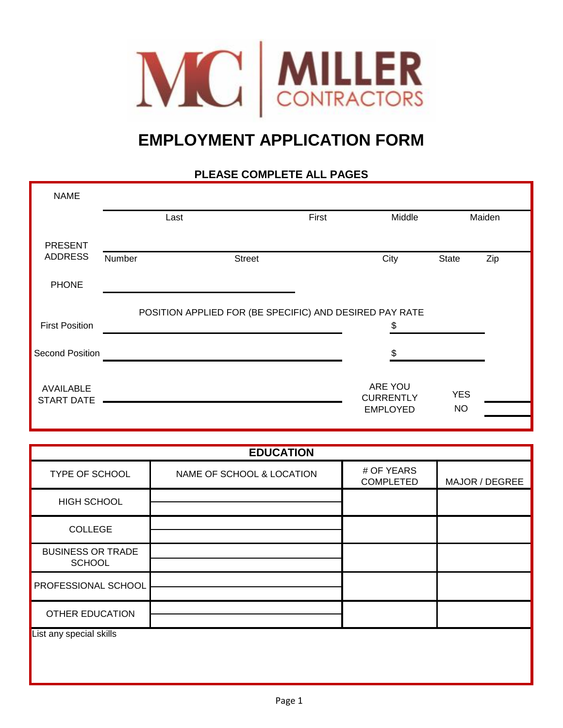

## **EMPLOYMENT APPLICATION FORM**

## **PLEASE COMPLETE ALL PAGES**

| <b>NAME</b>                           |                                                         |               |       |                             |              |        |  |
|---------------------------------------|---------------------------------------------------------|---------------|-------|-----------------------------|--------------|--------|--|
|                                       | Last                                                    |               | First | Middle                      |              | Maiden |  |
| <b>PRESENT</b>                        |                                                         |               |       |                             |              |        |  |
| <b>ADDRESS</b>                        | Number                                                  | <b>Street</b> |       | City                        | <b>State</b> | Zip    |  |
| <b>PHONE</b>                          |                                                         |               |       |                             |              |        |  |
|                                       | POSITION APPLIED FOR (BE SPECIFIC) AND DESIRED PAY RATE |               |       |                             |              |        |  |
| <b>First Position</b>                 |                                                         |               |       | \$                          |              |        |  |
| <b>Second Position</b>                |                                                         |               |       | \$                          |              |        |  |
|                                       |                                                         |               |       |                             |              |        |  |
| <b>AVAILABLE</b><br><b>START DATE</b> |                                                         |               |       | ARE YOU<br><b>CURRENTLY</b> | <b>YES</b>   |        |  |
|                                       |                                                         |               |       | <b>EMPLOYED</b>             | <b>NO</b>    |        |  |

| <b>EDUCATION</b>                          |                           |                                |                |  |  |
|-------------------------------------------|---------------------------|--------------------------------|----------------|--|--|
| TYPE OF SCHOOL                            | NAME OF SCHOOL & LOCATION | # OF YEARS<br><b>COMPLETED</b> | MAJOR / DEGREE |  |  |
| <b>HIGH SCHOOL</b>                        |                           |                                |                |  |  |
| <b>COLLEGE</b>                            |                           |                                |                |  |  |
| <b>BUSINESS OR TRADE</b><br><b>SCHOOL</b> |                           |                                |                |  |  |
| <b>PROFESSIONAL SCHOOL</b>                |                           |                                |                |  |  |
| <b>OTHER EDUCATION</b>                    |                           |                                |                |  |  |
| List any special skills                   |                           |                                |                |  |  |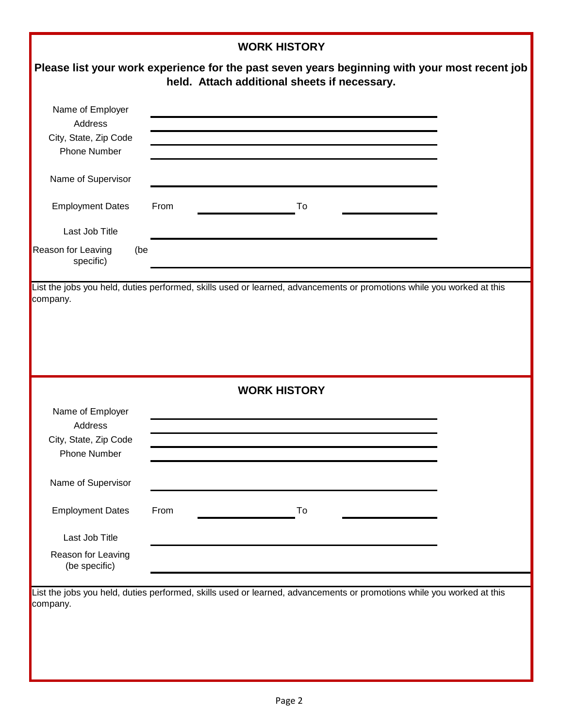|                                        | <b>WORK HISTORY</b>                                                                                                                           |  |
|----------------------------------------|-----------------------------------------------------------------------------------------------------------------------------------------------|--|
|                                        | Please list your work experience for the past seven years beginning with your most recent job<br>held. Attach additional sheets if necessary. |  |
| Name of Employer                       |                                                                                                                                               |  |
| Address                                |                                                                                                                                               |  |
| City, State, Zip Code                  |                                                                                                                                               |  |
| <b>Phone Number</b>                    |                                                                                                                                               |  |
| Name of Supervisor                     |                                                                                                                                               |  |
| <b>Employment Dates</b>                | From<br>To                                                                                                                                    |  |
| Last Job Title                         |                                                                                                                                               |  |
| Reason for Leaving<br>(be<br>specific) |                                                                                                                                               |  |
|                                        |                                                                                                                                               |  |
|                                        | <b>WORK HISTORY</b>                                                                                                                           |  |
| Name of Employer                       |                                                                                                                                               |  |
| Address                                |                                                                                                                                               |  |
| City, State, Zip Code                  |                                                                                                                                               |  |
| <b>Phone Number</b>                    |                                                                                                                                               |  |
| Name of Supervisor                     |                                                                                                                                               |  |
| <b>Employment Dates</b>                | From<br>To                                                                                                                                    |  |
| Last Job Title                         |                                                                                                                                               |  |
| Reason for Leaving                     |                                                                                                                                               |  |
| (be specific)                          |                                                                                                                                               |  |
|                                        | List the jobs you held, duties performed, skills used or learned, advancements or promotions while you worked at this                         |  |
| company.                               |                                                                                                                                               |  |
|                                        |                                                                                                                                               |  |
|                                        |                                                                                                                                               |  |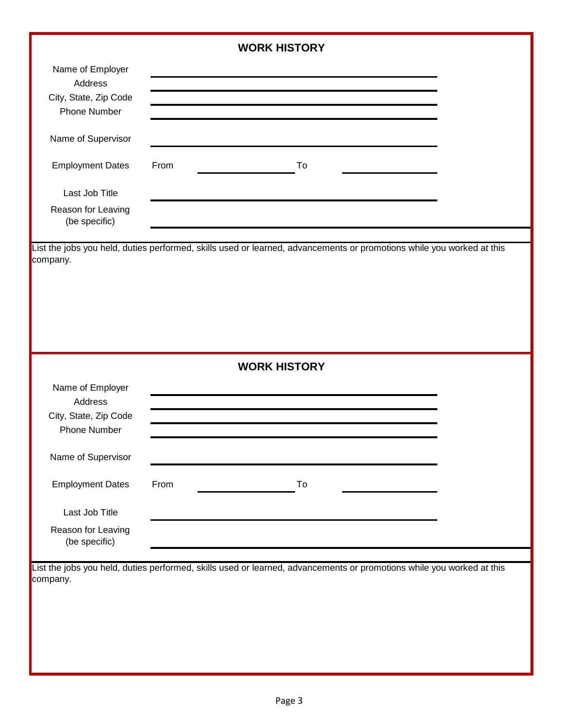|                                                                             | <b>WORK HISTORY</b>                                                                                                   |  |
|-----------------------------------------------------------------------------|-----------------------------------------------------------------------------------------------------------------------|--|
| Name of Employer<br>Address<br>City, State, Zip Code<br><b>Phone Number</b> |                                                                                                                       |  |
| Name of Supervisor                                                          |                                                                                                                       |  |
| <b>Employment Dates</b>                                                     | From<br>To                                                                                                            |  |
| Last Job Title                                                              |                                                                                                                       |  |
| Reason for Leaving<br>(be specific)                                         |                                                                                                                       |  |
| company.                                                                    | List the jobs you held, duties performed, skills used or learned, advancements or promotions while you worked at this |  |
|                                                                             | <b>WORK HISTORY</b>                                                                                                   |  |
| Name of Employer<br>Address<br>City, State, Zip Code<br><b>Phone Number</b> |                                                                                                                       |  |
| Name of Supervisor                                                          |                                                                                                                       |  |
| <b>Employment Dates</b>                                                     | From<br>To                                                                                                            |  |
| Last Job Title                                                              |                                                                                                                       |  |
| Reason for Leaving<br>(be specific)                                         |                                                                                                                       |  |
| company.                                                                    | List the jobs you held, duties performed, skills used or learned, advancements or promotions while you worked at this |  |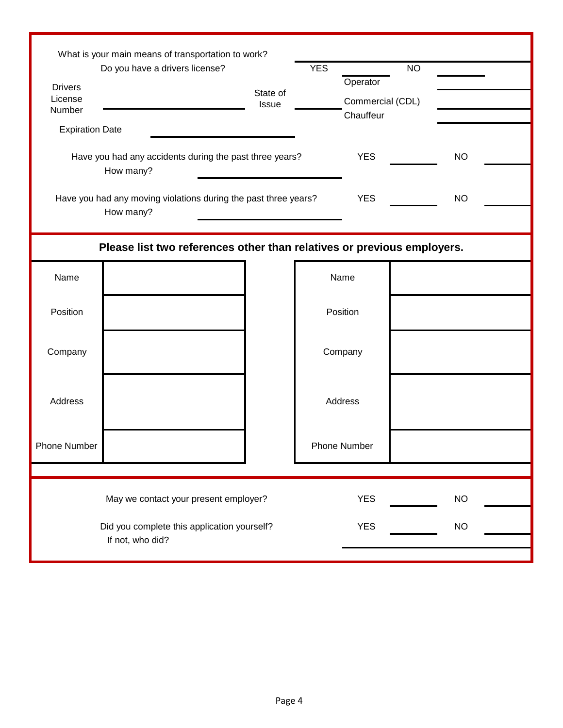| What is your main means of transportation to work? |                                                                        |                   |            |                     |           |           |  |
|----------------------------------------------------|------------------------------------------------------------------------|-------------------|------------|---------------------|-----------|-----------|--|
| Do you have a drivers license?                     |                                                                        |                   | <b>YES</b> |                     | <b>NO</b> |           |  |
| <b>Drivers</b>                                     |                                                                        | State of<br>Issue |            | Operator            |           |           |  |
| License                                            |                                                                        |                   |            | Commercial (CDL)    |           |           |  |
| Number                                             |                                                                        |                   |            | Chauffeur           |           |           |  |
| <b>Expiration Date</b>                             |                                                                        |                   |            |                     |           |           |  |
|                                                    | Have you had any accidents during the past three years?                |                   |            | <b>YES</b>          |           | <b>NO</b> |  |
|                                                    | How many?                                                              |                   |            |                     |           |           |  |
|                                                    | Have you had any moving violations during the past three years?        |                   |            | <b>YES</b>          |           | <b>NO</b> |  |
|                                                    | How many?                                                              |                   |            |                     |           |           |  |
|                                                    | Please list two references other than relatives or previous employers. |                   |            |                     |           |           |  |
| Name                                               |                                                                        |                   | Name       |                     |           |           |  |
|                                                    |                                                                        |                   |            |                     |           |           |  |
| Position                                           |                                                                        |                   |            | Position            |           |           |  |
|                                                    |                                                                        |                   | Company    |                     |           |           |  |
| Company                                            |                                                                        |                   |            |                     |           |           |  |
|                                                    |                                                                        |                   |            |                     |           |           |  |
| Address                                            |                                                                        |                   | Address    |                     |           |           |  |
|                                                    |                                                                        |                   |            |                     |           |           |  |
| <b>Phone Number</b>                                |                                                                        |                   |            | <b>Phone Number</b> |           |           |  |
|                                                    |                                                                        |                   |            |                     |           |           |  |
|                                                    | May we contact your present employer?                                  |                   |            | <b>YES</b>          |           | <b>NO</b> |  |
| Did you complete this application yourself?        |                                                                        |                   |            | <b>YES</b>          |           | <b>NO</b> |  |
| If not, who did?                                   |                                                                        |                   |            |                     |           |           |  |
|                                                    |                                                                        |                   |            |                     |           |           |  |